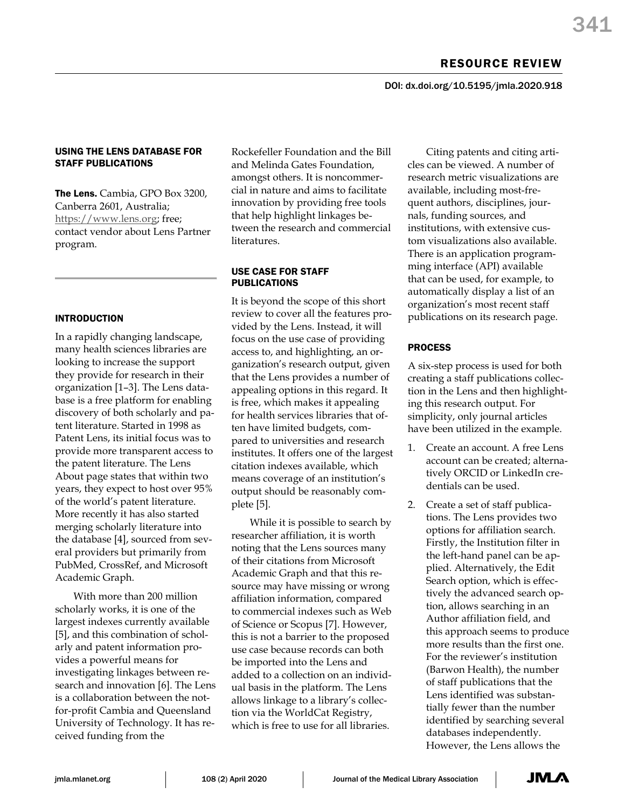DOI: dx.doi.org/10.5195/jmla.2020.918

# USING THE LENS DATABASE FOR STAFF PUBLICATIONS

The Lens. Cambia, GPO Box 3200, Canberra 2601, Australia; [https://www.lens.org;](https://www.lens.org/) free; contact vendor about Lens Partner program.

# INTRODUCTION

In a rapidly changing landscape, many health sciences libraries are looking to increase the support they provide for research in their organization [1–3]. The Lens database is a free platform for enabling discovery of both scholarly and patent literature. Started in 1998 as Patent Lens, its initial focus was to provide more transparent access to the patent literature. The Lens About page states that within two years, they expect to host over 95% of the world's patent literature. More recently it has also started merging scholarly literature into the database [4], sourced from several providers but primarily from PubMed, CrossRef, and Microsoft Academic Graph.

With more than 200 million scholarly works, it is one of the largest indexes currently available [5], and this combination of scholarly and patent information provides a powerful means for investigating linkages between research and innovation [6]. The Lens is a collaboration between the notfor-profit Cambia and Queensland University of Technology. It has received funding from the

Rockefeller Foundation and the Bill and Melinda Gates Foundation, amongst others. It is noncommercial in nature and aims to facilitate innovation by providing free tools that help highlight linkages between the research and commercial literatures.

## USE CASE FOR STAFF PUBLICATIONS

It is beyond the scope of this short review to cover all the features provided by the Lens. Instead, it will focus on the use case of providing access to, and highlighting, an organization's research output, given that the Lens provides a number of appealing options in this regard. It is free, which makes it appealing for health services libraries that often have limited budgets, compared to universities and research institutes. It offers one of the largest citation indexes available, which means coverage of an institution's output should be reasonably complete [5].

While it is possible to search by researcher affiliation, it is worth noting that the Lens sources many of their citations from Microsoft Academic Graph and that this resource may have missing or wrong affiliation information, compared to commercial indexes such as Web of Science or Scopus [7]. However, this is not a barrier to the proposed use case because records can both be imported into the Lens and added to a collection on an individual basis in the platform. The Lens allows linkage to a library's collection via the WorldCat Registry, which is free to use for all libraries.

Citing patents and citing articles can be viewed. A number of research metric visualizations are available, including most-frequent authors, disciplines, journals, funding sources, and institutions, with extensive custom visualizations also available. There is an application programming interface (API) available that can be used, for example, to automatically display a list of an organization's most recent staff publications on its research page.

# PROCESS

A six-step process is used for both creating a staff publications collection in the Lens and then highlighting this research output. For simplicity, only journal articles have been utilized in the example.

- 1. Create an account. A free Lens account can be created; alternatively ORCID or LinkedIn credentials can be used.
- 2. Create a set of staff publications. The Lens provides two options for affiliation search. Firstly, the Institution filter in the left-hand panel can be applied. Alternatively, the Edit Search option, which is effectively the advanced search option, allows searching in an Author affiliation field, and this approach seems to produce more results than the first one. For the reviewer's institution (Barwon Health), the number of staff publications that the Lens identified was substantially fewer than the number identified by searching several databases independently. However, the Lens allows the

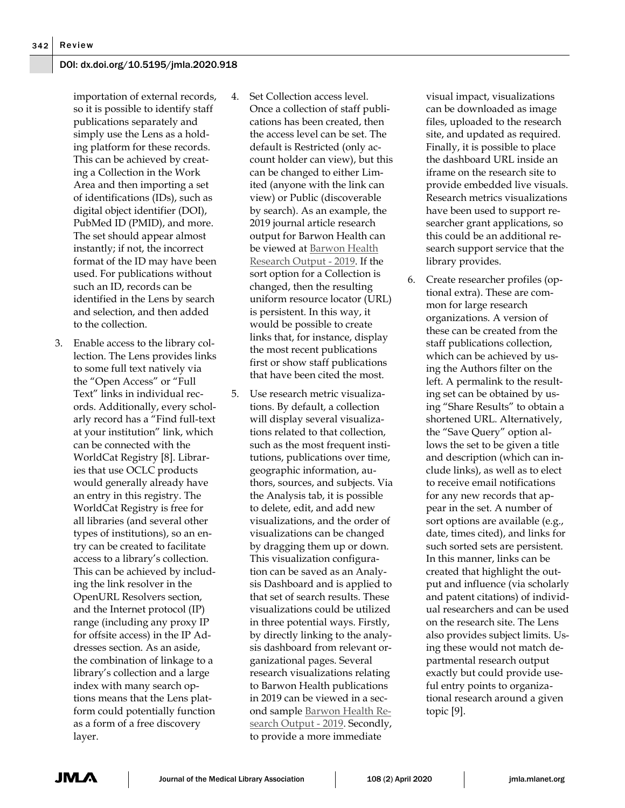### DOI: dx.doi.org/10.5195/jmla.2020.918

importation of external records, so it is possible to identify staff publications separately and simply use the Lens as a holding platform for these records. This can be achieved by creating a Collection in the Work Area and then importing a set of identifications (IDs), such as digital object identifier (DOI), PubMed ID (PMID), and more. The set should appear almost instantly; if not, the incorrect format of the ID may have been used. For publications without such an ID, records can be identified in the Lens by search and selection, and then added to the collection.

- 3. Enable access to the library collection. The Lens provides links to some full text natively via the "Open Access" or "Full Text" links in individual records. Additionally, every scholarly record has a "Find full-text at your institution" link, which can be connected with the WorldCat Registry [8]. Libraries that use OCLC products would generally already have an entry in this registry. The WorldCat Registry is free for all libraries (and several other types of institutions), so an entry can be created to facilitate access to a library's collection. This can be achieved by including the link resolver in the OpenURL Resolvers section, and the Internet protocol (IP) range (including any proxy IP for offsite access) in the IP Addresses section. As an aside, the combination of linkage to a library's collection and a large index with many search options means that the Lens platform could potentially function as a form of a free discovery layer.
- 4. Set Collection access level. Once a collection of staff publications has been created, then the access level can be set. The default is Restricted (only account holder can view), but this can be changed to either Limited (anyone with the link can view) or Public (discoverable by search). As an example, the 2019 journal article research output for Barwon Health can be viewed at [Barwon Health](https://link.lens.org/mLMs3qRZy0j)  [Research Output -](https://link.lens.org/mLMs3qRZy0j) 2019. If the sort option for a Collection is changed, then the resulting uniform resource locator (URL) is persistent. In this way, it would be possible to create links that, for instance, display the most recent publications first or show staff publications that have been cited the most.
- 5. Use research metric visualizations. By default, a collection will display several visualizations related to that collection, such as the most frequent institutions, publications over time, geographic information, authors, sources, and subjects. Via the Analysis tab, it is possible to delete, edit, and add new visualizations, and the order of visualizations can be changed by dragging them up or down. This visualization configuration can be saved as an Analysis Dashboard and is applied to that set of search results. These visualizations could be utilized in three potential ways. Firstly, by directly linking to the analysis dashboard from relevant organizational pages. Several research visualizations relating to Barwon Health publications in 2019 can be viewed in a second sample [Barwon Health Re](https://link.lens.org/vOGBrjJlo8j)[search Output -](https://link.lens.org/vOGBrjJlo8j) 2019. Secondly, to provide a more immediate

visual impact, visualizations can be downloaded as image files, uploaded to the research site, and updated as required. Finally, it is possible to place the dashboard URL inside an iframe on the research site to provide embedded live visuals. Research metrics visualizations have been used to support researcher grant applications, so this could be an additional research support service that the library provides.

6. Create researcher profiles (optional extra). These are common for large research organizations. A version of these can be created from the staff publications collection, which can be achieved by using the Authors filter on the left. A permalink to the resulting set can be obtained by using "Share Results" to obtain a shortened URL. Alternatively, the "Save Query" option allows the set to be given a title and description (which can include links), as well as to elect to receive email notifications for any new records that appear in the set. A number of sort options are available (e.g., date, times cited), and links for such sorted sets are persistent. In this manner, links can be created that highlight the output and influence (via scholarly and patent citations) of individual researchers and can be used on the research site. The Lens also provides subject limits. Using these would not match departmental research output exactly but could provide useful entry points to organizational research around a given topic [9].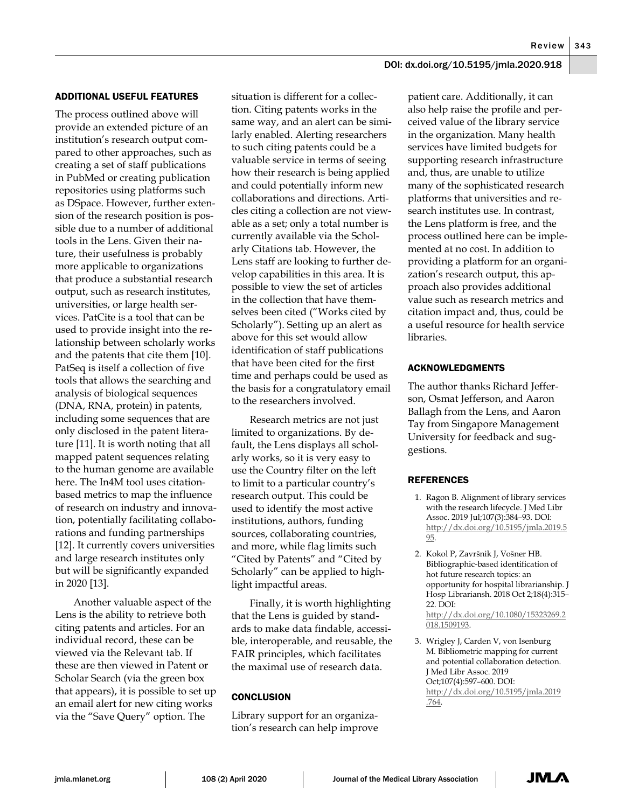$Review$  343

## DOI: dx.doi.org/10.5195/jmla.2020.918

#### ADDITIONAL USEFUL FEATURES

The process outlined above will provide an extended picture of an institution's research output compared to other approaches, such as creating a set of staff publications in PubMed or creating publication repositories using platforms such as DSpace. However, further extension of the research position is possible due to a number of additional tools in the Lens. Given their nature, their usefulness is probably more applicable to organizations that produce a substantial research output, such as research institutes, universities, or large health services. PatCite is a tool that can be used to provide insight into the relationship between scholarly works and the patents that cite them [10]. PatSeq is itself a collection of five tools that allows the searching and analysis of biological sequences (DNA, RNA, protein) in patents, including some sequences that are only disclosed in the patent literature [11]. It is worth noting that all mapped patent sequences relating to the human genome are available here. The In4M tool uses citationbased metrics to map the influence of research on industry and innovation, potentially facilitating collaborations and funding partnerships [12]. It currently covers universities and large research institutes only but will be significantly expanded in 2020 [13].

Another valuable aspect of the Lens is the ability to retrieve both citing patents and articles. For an individual record, these can be viewed via the Relevant tab. If these are then viewed in Patent or Scholar Search (via the green box that appears), it is possible to set up an email alert for new citing works via the "Save Query" option. The

situation is different for a collection. Citing patents works in the same way, and an alert can be similarly enabled. Alerting researchers to such citing patents could be a valuable service in terms of seeing how their research is being applied and could potentially inform new collaborations and directions. Articles citing a collection are not viewable as a set; only a total number is currently available via the Scholarly Citations tab. However, the Lens staff are looking to further develop capabilities in this area. It is possible to view the set of articles in the collection that have themselves been cited ("Works cited by Scholarly"). Setting up an alert as above for this set would allow identification of staff publications that have been cited for the first time and perhaps could be used as the basis for a congratulatory email to the researchers involved.

Research metrics are not just limited to organizations. By default, the Lens displays all scholarly works, so it is very easy to use the Country filter on the left to limit to a particular country's research output. This could be used to identify the most active institutions, authors, funding sources, collaborating countries, and more, while flag limits such "Cited by Patents" and "Cited by Scholarly" can be applied to highlight impactful areas.

Finally, it is worth highlighting that the Lens is guided by standards to make data findable, accessible, interoperable, and reusable, the FAIR principles, which facilitates the maximal use of research data.

### **CONCLUSION**

Library support for an organization's research can help improve patient care. Additionally, it can also help raise the profile and perceived value of the library service in the organization. Many health services have limited budgets for supporting research infrastructure and, thus, are unable to utilize many of the sophisticated research platforms that universities and research institutes use. In contrast, the Lens platform is free, and the process outlined here can be implemented at no cost. In addition to providing a platform for an organization's research output, this approach also provides additional value such as research metrics and citation impact and, thus, could be a useful resource for health service libraries.

#### ACKNOWLEDGMENTS

The author thanks Richard Jefferson, Osmat Jefferson, and Aaron Ballagh from the Lens, and Aaron Tay from Singapore Management University for feedback and suggestions.

#### **REFERENCES**

- 1. Ragon B. Alignment of library services with the research lifecycle. J Med Libr Assoc. 2019 Jul;107(3):384–93. DOI: [http://dx.doi.org/10.5195/jmla.2019.5](http://dx.doi.org/10.5195/jmla.2019.595) [95.](http://dx.doi.org/10.5195/jmla.2019.595)
- 2. Kokol P, Završnik J, Vošner HB. Bibliographic-based identification of hot future research topics: an opportunity for hospital librarianship. J Hosp Librariansh. 2018 Oct 2;18(4):315– 22. DOI: [http://dx.doi.org/10.1080/15323269.2](http://dx.doi.org/10.1080/15323269.2018.1509193) [018.1509193.](http://dx.doi.org/10.1080/15323269.2018.1509193)
- 3. Wrigley J, Carden V, von Isenburg M. Bibliometric mapping for current and potential collaboration detection. J Med Libr Assoc. 2019 Oct;107(4):597–600. DOI: [http://dx.doi.org/10.5195/jmla.2019](http://dx.doi.org/10.5195/jmla.2019.764) [.764.](http://dx.doi.org/10.5195/jmla.2019.764)